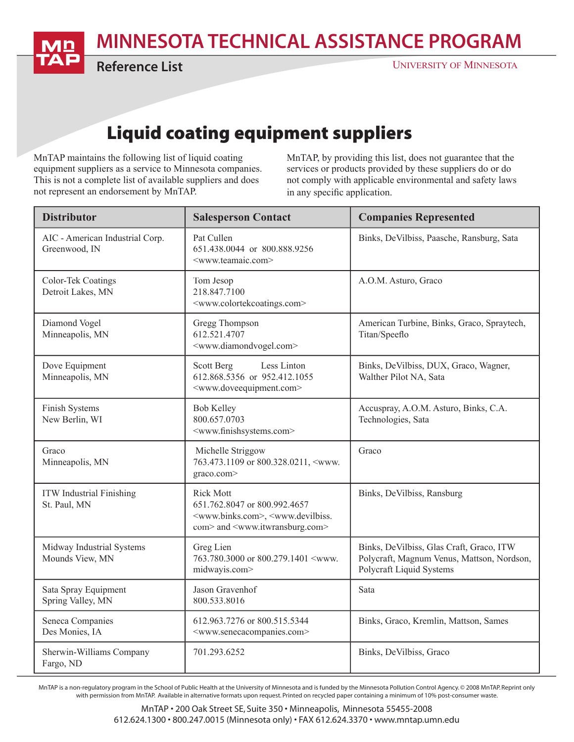MINNESOTA TECHNICAL ASSISTANCE PROGRAM

Reference List

## Liquid coating equipment suppliers

MnTAP maintains the following list of liquid coating equipment suppliers as a service to Minnesota companies. This is not a complete list of available suppliers and does not represent an endorsement by MnTAP.

MnTAP, by providing this list, does not guarantee that the services or products provided by these suppliers do or do not comply with applicable environmental and safety laws in any specific application.

| <b>Distributor</b>                               | <b>Salesperson Contact</b>                                                                                                                                                          | <b>Companies Represented</b>                                                                                       |
|--------------------------------------------------|-------------------------------------------------------------------------------------------------------------------------------------------------------------------------------------|--------------------------------------------------------------------------------------------------------------------|
| AIC - American Industrial Corp.<br>Greenwood, IN | Pat Cullen<br>651.438.0044 or 800.888.9256<br><www.teamaic.com></www.teamaic.com>                                                                                                   | Binks, DeVilbiss, Paasche, Ransburg, Sata                                                                          |
| Color-Tek Coatings<br>Detroit Lakes, MN          | Tom Jesop<br>218.847.7100<br><www.colortekcoatings.com></www.colortekcoatings.com>                                                                                                  | A.O.M. Asturo, Graco                                                                                               |
| Diamond Vogel<br>Minneapolis, MN                 | Gregg Thompson<br>612.521.4707<br><www.diamondvogel.com></www.diamondvogel.com>                                                                                                     | American Turbine, Binks, Graco, Spraytech,<br>Titan/Speeflo                                                        |
| Dove Equipment<br>Minneapolis, MN                | Scott Berg<br>Less Linton<br>612.868.5356 or 952.412.1055<br><www.doveequipment.com></www.doveequipment.com>                                                                        | Binks, DeVilbiss, DUX, Graco, Wagner,<br>Walther Pilot NA, Sata                                                    |
| Finish Systems<br>New Berlin, WI                 | <b>Bob Kelley</b><br>800.657.0703<br><www.finishsystems.com></www.finishsystems.com>                                                                                                | Accuspray, A.O.M. Asturo, Binks, C.A.<br>Technologies, Sata                                                        |
| Graco<br>Minneapolis, MN                         | Michelle Striggow<br>763.473.1109 or 800.328.0211, <www.<br>graco.com&gt;</www.<br>                                                                                                 | Graco                                                                                                              |
| <b>ITW</b> Industrial Finishing<br>St. Paul, MN  | <b>Rick Mott</b><br>651.762.8047 or 800.992.4657<br><www.binks.com>, <www.devilbiss.<br>com&gt; and <www.itwransburg.com></www.itwransburg.com></www.devilbiss.<br></www.binks.com> | Binks, DeVilbiss, Ransburg                                                                                         |
| Midway Industrial Systems<br>Mounds View, MN     | Greg Lien<br>763.780.3000 or 800.279.1401 <www.<br>midwayis.com&gt;</www.<br>                                                                                                       | Binks, DeVilbiss, Glas Craft, Graco, ITW<br>Polycraft, Magnum Venus, Mattson, Nordson,<br>Polycraft Liquid Systems |
| Sata Spray Equipment<br>Spring Valley, MN        | Jason Gravenhof<br>800.533.8016                                                                                                                                                     | Sata                                                                                                               |
| Seneca Companies<br>Des Monies, IA               | 612.963.7276 or 800.515.5344<br><www.senecacompanies.com></www.senecacompanies.com>                                                                                                 | Binks, Graco, Kremlin, Mattson, Sames                                                                              |
| Sherwin-Williams Company<br>Fargo, ND            | 701.293.6252                                                                                                                                                                        | Binks, DeVilbiss, Graco                                                                                            |

MnTAP is a non-regulatory program in the School of Public Health at the University of Minnesota and is funded by the Minnesota Pollution Control Agency. © 2008 MnTAP. Reprint only with permission from MnTAP. Available in alternative formats upon request. Printed on recycled paper containing a minimum of 10% post-consumer waste.